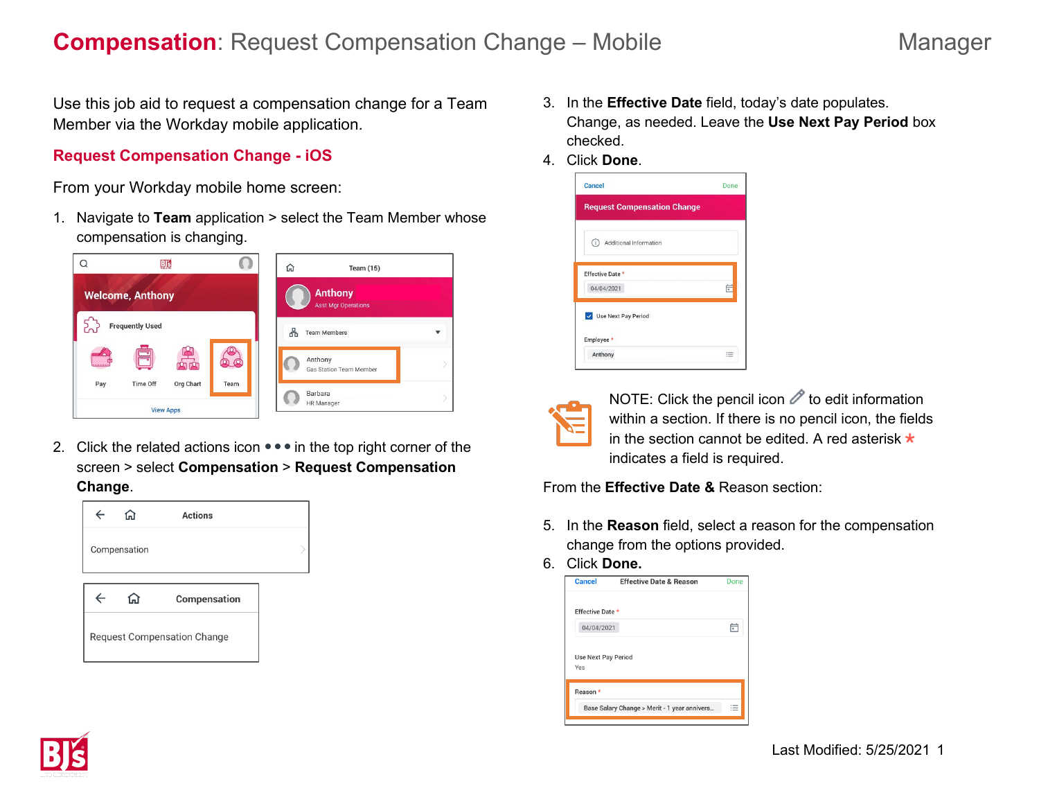Use this job aid to request a compensation change for a Team Member via the Workday mobile application.

## **Request Compensation Change - iOS**

From your Workday mobile home screen:

1. Navigate to **Team** application > select the Team Member whose compensation is changing.



2. Click the related actions icon  $\bullet\bullet\bullet$  in the top right corner of the screen > select **Compensation** > **Request Compensation Change**.



- 3. In the **Effective Date** field, today's date populates. Change, as needed. Leave the **Use Next Pay Period** box checked.
- 4. Click **Done**.





NOTE: Click the pencil icon  $\mathscr O$  to edit information within a section. If there is no pencil icon, the fields in the section cannot be edited. A red asterisk  $\star$ indicates a field is required.

From the **Effective Date &** Reason section:

- 5. In the **Reason** field, select a reason for the compensation change from the options provided.
- 6. Click **Done.**



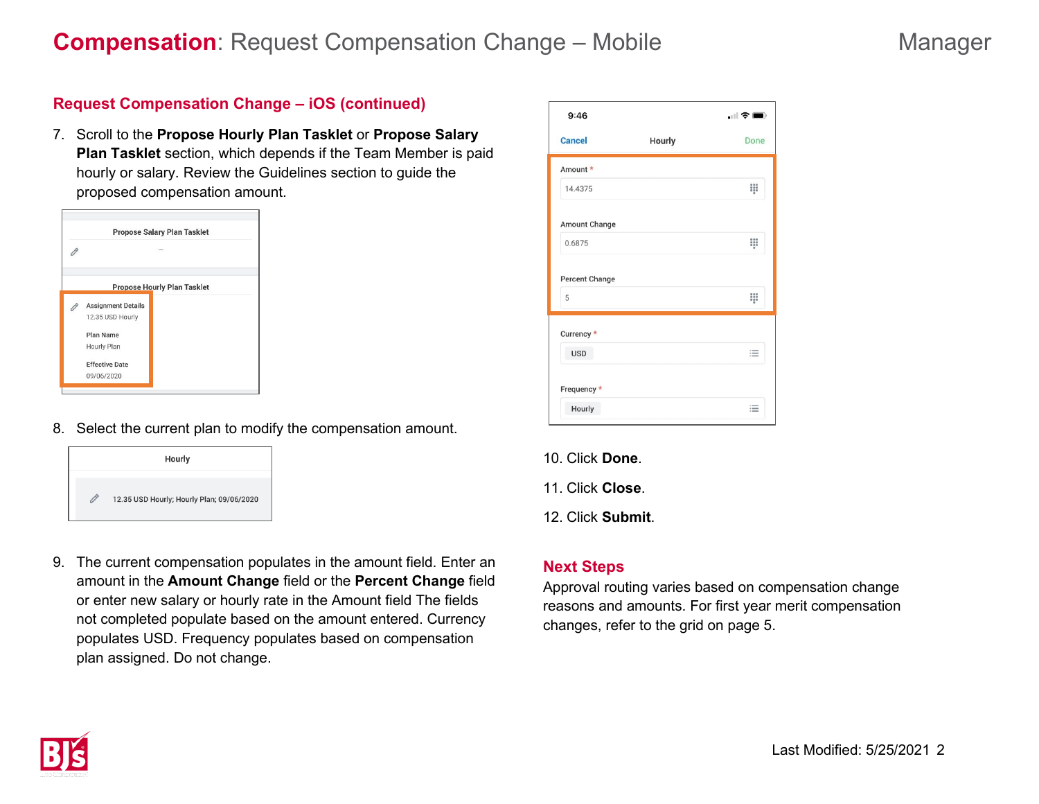# **Compensation**: Request Compensation Change – Mobile Manager

# **Request Compensation Change – iOS (continued)**

7. Scroll to the **Propose Hourly Plan Tasklet** or **Propose Salary Plan Tasklet** section, which depends if the Team Member is paid hourly or salary. Review the Guidelines section to guide the proposed compensation amount.



8. Select the current plan to modify the compensation amount.



9. The current compensation populates in the amount field. Enter an amount in the **Amount Change** field or the **Percent Change** field or enter new salary or hourly rate in the Amount field The fields not completed populate based on the amount entered. Currency populates USD. Frequency populates based on compensation plan assigned. Do not change.

|        | $\Box$ $\widehat{\tau}$ $\blacksquare$ |  |
|--------|----------------------------------------|--|
| Hourly | Done                                   |  |
|        |                                        |  |
|        | 00                                     |  |
|        |                                        |  |
|        | $\frac{1}{200}$                        |  |
|        | 88                                     |  |
|        |                                        |  |
|        | 這                                      |  |
|        |                                        |  |
|        | 注                                      |  |
|        |                                        |  |

- 10. Click **Done**.
- 11. Click **Close**.
- 12. Click **Submit**.

## **Next Steps**

Approval routing varies based on compensation change reasons and amounts. For first year merit compensation changes, refer to the grid on page 5.

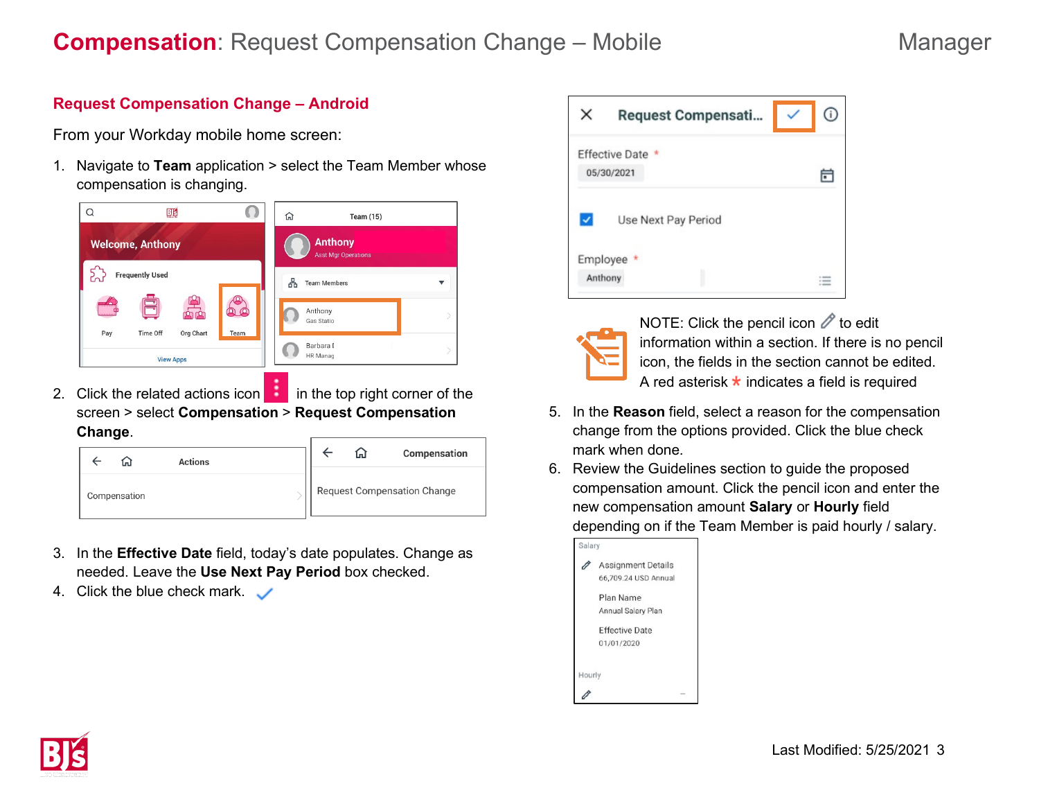# **Compensation**: Request Compensation Change – Mobile Manager

# **Request Compensation Change – Android**

From your Workday mobile home screen:

1. Navigate to **Team** application > select the Team Member whose compensation is changing.



2. Click the related actions icon  $\blacksquare$  in the top right corner of the screen > select **Compensation** > **Request Compensation Change**.

|              | <b>Actions</b> |  | l n l | Compensation                       |
|--------------|----------------|--|-------|------------------------------------|
| Compensation |                |  |       | <b>Request Compensation Change</b> |

- 3. In the **Effective Date** field, today's date populates. Change as needed. Leave the **Use Next Pay Period** box checked.
- 4. Click the blue check mark.  $\sqrt{ }$



NOTE: Click the pencil icon  $\mathscr O$  to edit information within a section. If there is no pencil icon, the fields in the section cannot be edited. A red asterisk  $\star$  indicates a field is required

- 5. In the **Reason** field, select a reason for the compensation change from the options provided. Click the blue check mark when done.
- 6. Review the Guidelines section to guide the proposed compensation amount. Click the pencil icon and enter the new compensation amount **Salary** or **Hourly** field depending on if the Team Member is paid hourly / salary.

| Salary |                           |  |
|--------|---------------------------|--|
|        | <b>Assignment Details</b> |  |
|        | 66,709.24 USD Annual      |  |
|        | Plan Name                 |  |
|        | Annual Salary Plan        |  |
|        | <b>Effective Date</b>     |  |
|        | 01/01/2020                |  |
|        |                           |  |
| Hourly |                           |  |
|        |                           |  |

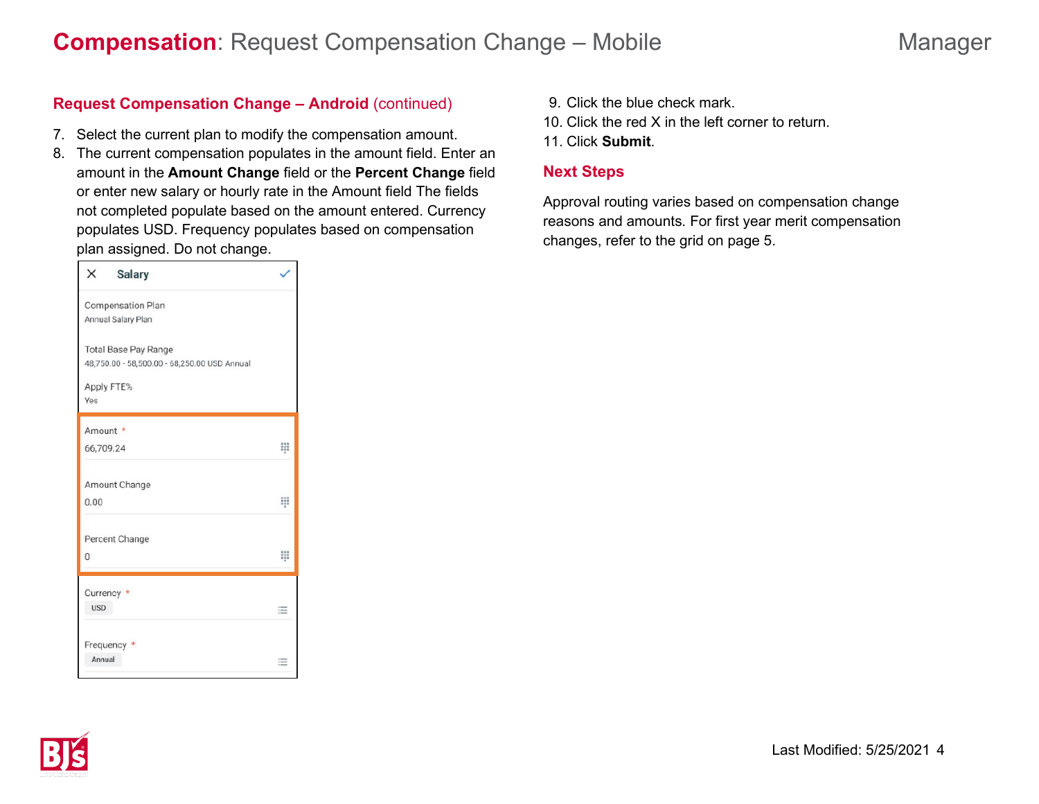## **Request Compensation Change – Android** (continued)

- 7. Select the current plan to modify the compensation amount.
- 8. The current compensation populates in the amount field. Enter an amount in the **Amount Change** field or the **Percent Change** field or enter new salary or hourly rate in the Amount field The fields not completed populate based on the amount entered. Currency populates USD. Frequency populates based on compensation plan assigned. Do not change.

| X          | <b>Salary</b>                                                               |   |
|------------|-----------------------------------------------------------------------------|---|
|            | Compensation Plan<br>Annual Salary Plan                                     |   |
|            | <b>Total Base Pay Range</b><br>48,750.00 - 58,500.00 - 68,250.00 USD Annual |   |
| Yes        | Apply FTE%                                                                  |   |
|            | Amount *                                                                    |   |
|            | 66,709.24                                                                   | ₩ |
| 0.00       | Amount Change                                                               | ₩ |
|            | Percent Change                                                              |   |
| $\Omega$   |                                                                             | ş |
|            | Currency *                                                                  |   |
| <b>USD</b> |                                                                             | 三 |
| Annual     | Frequency *                                                                 |   |
|            |                                                                             | 這 |

- 9. Click the blue check mark.
- 10. Click the red X in the left corner to return.
- 11. Click **Submit**.

### **Next Steps**

Approval routing varies based on compensation change reasons and amounts. For first year merit compensation changes, refer to the grid on page 5.